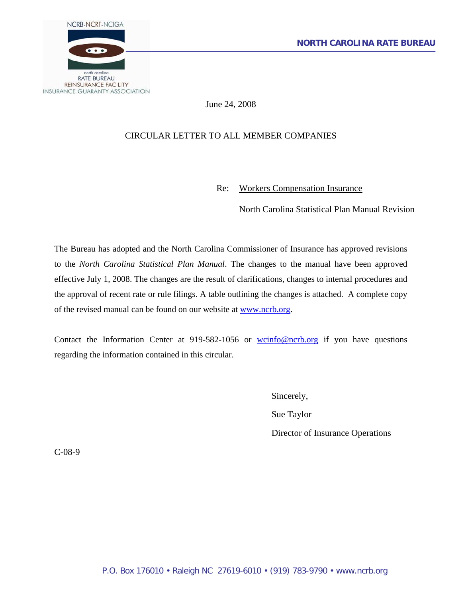

June 24, 2008

## CIRCULAR LETTER TO ALL MEMBER COMPANIES

Re: Workers Compensation Insurance

North Carolina Statistical Plan Manual Revision

The Bureau has adopted and the North Carolina Commissioner of Insurance has approved revisions to the *North Carolina Statistical Plan Manual*. The changes to the manual have been approved effective July 1, 2008. The changes are the result of clarifications, changes to internal procedures and the approval of recent rate or rule filings. A table outlining the changes is attached. A complete copy of the revised manual can be found on our website at [www.ncrb.org.](http://www.ncrb.org/)

Contact the Information Center at 919-582-1056 or  $wcinfo@ncrb.org$  if you have questions regarding the information contained in this circular.

> Sincerely, Sue Taylor Director of Insurance Operations

C-08-9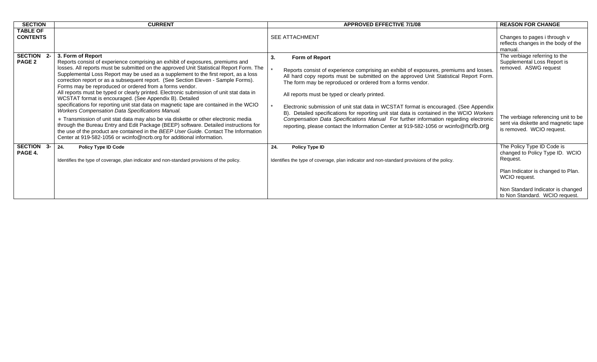| <b>SECTION</b>                     | <b>CURRENT</b>                                                                                                                                                                                                                                                                                                                                                                                                                                                                                                                                                                                                                                                                                                                                                                                                                                                                                                                                                                                                                                                                                    |     | <b>APPROVED EFFECTIVE 7/1/08</b>                                                                                                                                                                                                                                                                                                                                                                                                                                                                                                                                                                                                                                                         | <b>REASON FOR CHANGE</b>                                                                                                                                                                                |
|------------------------------------|---------------------------------------------------------------------------------------------------------------------------------------------------------------------------------------------------------------------------------------------------------------------------------------------------------------------------------------------------------------------------------------------------------------------------------------------------------------------------------------------------------------------------------------------------------------------------------------------------------------------------------------------------------------------------------------------------------------------------------------------------------------------------------------------------------------------------------------------------------------------------------------------------------------------------------------------------------------------------------------------------------------------------------------------------------------------------------------------------|-----|------------------------------------------------------------------------------------------------------------------------------------------------------------------------------------------------------------------------------------------------------------------------------------------------------------------------------------------------------------------------------------------------------------------------------------------------------------------------------------------------------------------------------------------------------------------------------------------------------------------------------------------------------------------------------------------|---------------------------------------------------------------------------------------------------------------------------------------------------------------------------------------------------------|
| <b>TABLE OF</b><br><b>CONTENTS</b> |                                                                                                                                                                                                                                                                                                                                                                                                                                                                                                                                                                                                                                                                                                                                                                                                                                                                                                                                                                                                                                                                                                   |     | <b>SEE ATTACHMENT</b>                                                                                                                                                                                                                                                                                                                                                                                                                                                                                                                                                                                                                                                                    | Changes to pages i through v<br>reflects changes in the body of the<br>manual.                                                                                                                          |
| SECTION 2-<br>PAGE 2               | 3. Form of Report<br>Reports consist of experience comprising an exhibit of exposures, premiums and<br>losses. All reports must be submitted on the approved Unit Statistical Report Form. The<br>Supplemental Loss Report may be used as a supplement to the first report, as a loss<br>correction report or as a subsequent report. (See Section Eleven - Sample Forms).<br>Forms may be reproduced or ordered from a forms vendor.<br>All reports must be typed or clearly printed. Electronic submission of unit stat data in<br>WCSTAT format is encouraged. (See Appendix B). Detailed<br>specifications for reporting unit stat data on magnetic tape are contained in the WCIO<br><b>Workers Compensation Data Specifications Manual.</b><br>* Transmission of unit stat data may also be via diskette or other electronic media<br>through the Bureau Entry and Edit Package (BEEP) software. Detailed instructions for<br>the use of the product are contained in the BEEP User Guide. Contact The Information<br>Center at 919-582-1056 or wcinfo@ncrb.org for additional information. | 3.  | Form of Report<br>Reports consist of experience comprising an exhibit of exposures, premiums and losses.<br>All hard copy reports must be submitted on the approved Unit Statistical Report Form.<br>The form may be reproduced or ordered from a forms vendor.<br>All reports must be typed or clearly printed.<br>Electronic submission of unit stat data in WCSTAT format is encouraged. (See Appendix<br>Detailed specifications for reporting unit stat data is contained in the WCIO Workers<br>B).<br>Compensation Data Specifications Manual For further information regarding electronic<br>reporting, please contact the Information Center at 919-582-1056 or wcinfo@ncrb.org | The verbiage referring to the<br>Supplemental Loss Report is<br>removed. ASWG request<br>The verbiage referencing unit to be<br>sent via diskette and magnetic tape<br>is removed. WCIO request.        |
| SECTION 3-<br>PAGE 4.              | 24.<br><b>Policy Type ID Code</b><br>Identifies the type of coverage, plan indicator and non-standard provisions of the policy.                                                                                                                                                                                                                                                                                                                                                                                                                                                                                                                                                                                                                                                                                                                                                                                                                                                                                                                                                                   | 24. | Policy Type ID<br>Identifies the type of coverage, plan indicator and non-standard provisions of the policy.                                                                                                                                                                                                                                                                                                                                                                                                                                                                                                                                                                             | The Policy Type ID Code is<br>changed to Policy Type ID. WCIO<br>Request.<br>Plan Indicator is changed to Plan.<br>WCIO request.<br>Non Standard Indicator is changed<br>to Non Standard. WCIO request. |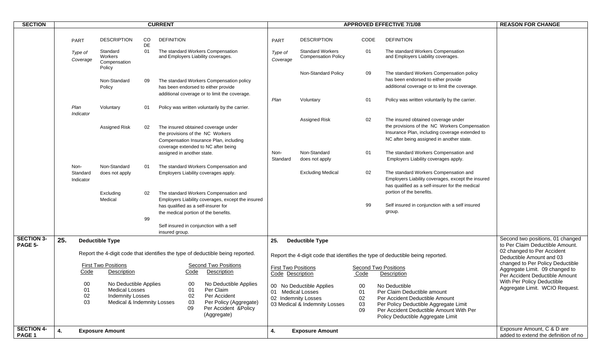| <b>SECTION</b>               | <b>CURRENT</b> |                                                                                          |                                                                                                                                                                                                                                                                                                                                                                                                                                             |                                               |                                                                                                                                                                                                                                                                                                                                                                                                                                                                                                                                                                                                                                                             |                                                                                                                                                                    |                                                                                                                                                                                                                                | <b>REASON FOR CHANGE</b>                 |                                                                                                                                                                                                                                                                                                                                                                                                                                                                                                                                                                                                                                                                                                                                                                             |                                                                     |
|------------------------------|----------------|------------------------------------------------------------------------------------------|---------------------------------------------------------------------------------------------------------------------------------------------------------------------------------------------------------------------------------------------------------------------------------------------------------------------------------------------------------------------------------------------------------------------------------------------|-----------------------------------------------|-------------------------------------------------------------------------------------------------------------------------------------------------------------------------------------------------------------------------------------------------------------------------------------------------------------------------------------------------------------------------------------------------------------------------------------------------------------------------------------------------------------------------------------------------------------------------------------------------------------------------------------------------------------|--------------------------------------------------------------------------------------------------------------------------------------------------------------------|--------------------------------------------------------------------------------------------------------------------------------------------------------------------------------------------------------------------------------|------------------------------------------|-----------------------------------------------------------------------------------------------------------------------------------------------------------------------------------------------------------------------------------------------------------------------------------------------------------------------------------------------------------------------------------------------------------------------------------------------------------------------------------------------------------------------------------------------------------------------------------------------------------------------------------------------------------------------------------------------------------------------------------------------------------------------------|---------------------------------------------------------------------|
|                              |                | <b>PART</b><br>Type of<br>Coverage<br>Plan<br>Indicator<br>Non-<br>Standard<br>Indicator | <b>DESCRIPTION</b><br>Standard<br>Workers<br>Compensation<br>Policy<br>Non-Standard<br>Policy<br>Voluntary<br>Assigned Risk<br>Non-Standard<br>does not apply<br>Excluding                                                                                                                                                                                                                                                                  | CO.<br>DE<br>01<br>09<br>01<br>02<br>01<br>02 | <b>DEFINITION</b><br>The standard Workers Compensation<br>and Employers Liability coverages.<br>The standard Workers Compensation policy<br>has been endorsed to either provide<br>additional coverage or to limit the coverage.<br>Policy was written voluntarily by the carrier.<br>The insured obtained coverage under<br>the provisions of the NC Workers<br>Compensation Insurance Plan, including<br>coverage extended to NC after being<br>assigned in another state.<br>The standard Workers Compensation and<br>Employers Liability coverages apply.<br>The standard Workers Compensation and<br>Employers Liability coverages, except the insured | <b>PART</b><br>Type of<br>Coverage<br>Plan<br>Non-<br>Standard                                                                                                     | <b>DESCRIPTION</b><br><b>Standard Workers</b><br><b>Compensation Policy</b><br>Non-Standard Policy<br>Voluntary<br><b>Assigned Risk</b><br>Non-Standard<br>does not apply<br><b>Excluding Medical</b>                          | CODE<br>01<br>09<br>01<br>02<br>01<br>02 | <b>APPROVED EFFECTIVE 7/1/08</b><br><b>DEFINITION</b><br>The standard Workers Compensation<br>and Employers Liability coverages.<br>The standard Workers Compensation policy<br>has been endorsed to either provide<br>additional coverage or to limit the coverage.<br>Policy was written voluntarily by the carrier.<br>The insured obtained coverage under<br>the provisions of the NC Workers Compensation<br>Insurance Plan, including coverage extended to<br>NC after being assigned in another state.<br>The standard Workers Compensation and<br>Employers Liability coverages apply.<br>The standard Workers Compensation and<br>Employers Liability coverages, except the insured<br>has qualified as a self-insurer for the medical<br>portion of the benefits. |                                                                     |
| <b>SECTION 3-</b><br>PAGE 5- | 25.            |                                                                                          | <b>Deductible Type</b>                                                                                                                                                                                                                                                                                                                                                                                                                      | 99                                            | has qualified as a self-insurer for<br>the medical portion of the benefits.<br>Self insured in conjunction with a self<br>insured group.                                                                                                                                                                                                                                                                                                                                                                                                                                                                                                                    | 25.                                                                                                                                                                | <b>Deductible Type</b>                                                                                                                                                                                                         | 99                                       | Self insured in conjunction with a self insured<br>group.                                                                                                                                                                                                                                                                                                                                                                                                                                                                                                                                                                                                                                                                                                                   | Second two positions, 01 changed<br>to Per Claim Deductible Amount. |
|                              |                | Code<br>00<br>01<br>02<br>03                                                             | Report the 4-digit code that identifies the type of deductible being reported.<br><b>First Two Positions</b><br>Second Two Positions<br>Description<br>Description<br>Code<br>No Deductible Applies<br>No Deductible Applies<br>00<br>01<br>Per Claim<br><b>Medical Losses</b><br>Per Accident<br><b>Indemnity Losses</b><br>02<br>Medical & Indemnity Losses<br>Per Policy (Aggregate)<br>03<br>Per Accident & Policy<br>09<br>(Aggregate) |                                               | <b>First Two Positions</b><br>Code Description<br>01 Medical Losses                                                                                                                                                                                                                                                                                                                                                                                                                                                                                                                                                                                         | Report the 4-digit code that identifies the type of deductible being reported.<br>00 No Deductible Applies<br>02 Indemnity Losses<br>03 Medical & Indemnity Losses | 02 changed to Per Accident<br>Deductible Amount and 03<br>changed to Per Policy Deductible<br>Aggregate Limit. 09 changed to<br>Per Accident Deductible Amount<br>With Per Policy Deductible<br>Aggregate Limit. WCIO Request. |                                          |                                                                                                                                                                                                                                                                                                                                                                                                                                                                                                                                                                                                                                                                                                                                                                             |                                                                     |
| <b>SECTION 4-</b><br>PAGE 1  | 4.             |                                                                                          | <b>Exposure Amount</b>                                                                                                                                                                                                                                                                                                                                                                                                                      |                                               |                                                                                                                                                                                                                                                                                                                                                                                                                                                                                                                                                                                                                                                             | 4.                                                                                                                                                                 | <b>Exposure Amount</b>                                                                                                                                                                                                         |                                          |                                                                                                                                                                                                                                                                                                                                                                                                                                                                                                                                                                                                                                                                                                                                                                             | Exposure Amount, C & D are<br>added to extend the definition of no  |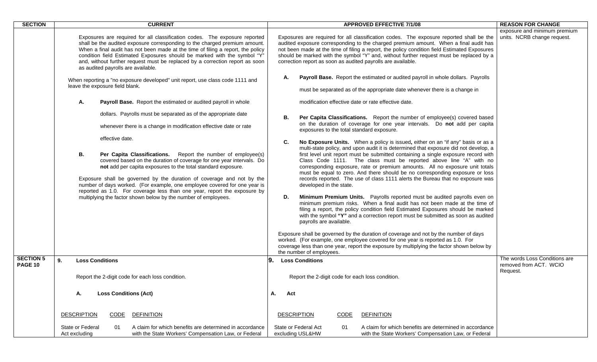| <b>SECTION</b>                     | <b>CURRENT</b>                                                                                                                                                                                                                                                                                                                                                                                                                                                                                                                                                                                                                                                                                                                                                                                                                                                                                                                                                                                                                                                                                                                                                                                                                                                                                                        | <b>APPROVED EFFECTIVE 7/1/08</b>                                                                                                                                                                                                                                                                                                                                                                                                                                                                                                                                                                                                                                                                                                                                                                                                                                                                                                                                                                                                                                                                                                                                                                                                                                                                                                                                                                                                                                                                                                                                                                                                                                                                                                                                                                                                                                                      | <b>REASON FOR CHANGE</b>                                            |
|------------------------------------|-----------------------------------------------------------------------------------------------------------------------------------------------------------------------------------------------------------------------------------------------------------------------------------------------------------------------------------------------------------------------------------------------------------------------------------------------------------------------------------------------------------------------------------------------------------------------------------------------------------------------------------------------------------------------------------------------------------------------------------------------------------------------------------------------------------------------------------------------------------------------------------------------------------------------------------------------------------------------------------------------------------------------------------------------------------------------------------------------------------------------------------------------------------------------------------------------------------------------------------------------------------------------------------------------------------------------|---------------------------------------------------------------------------------------------------------------------------------------------------------------------------------------------------------------------------------------------------------------------------------------------------------------------------------------------------------------------------------------------------------------------------------------------------------------------------------------------------------------------------------------------------------------------------------------------------------------------------------------------------------------------------------------------------------------------------------------------------------------------------------------------------------------------------------------------------------------------------------------------------------------------------------------------------------------------------------------------------------------------------------------------------------------------------------------------------------------------------------------------------------------------------------------------------------------------------------------------------------------------------------------------------------------------------------------------------------------------------------------------------------------------------------------------------------------------------------------------------------------------------------------------------------------------------------------------------------------------------------------------------------------------------------------------------------------------------------------------------------------------------------------------------------------------------------------------------------------------------------------|---------------------------------------------------------------------|
|                                    | Exposures are required for all classification codes. The exposure reported<br>shall be the audited exposure corresponding to the charged premium amount.<br>When a final audit has not been made at the time of filing a report, the policy<br>condition field Estimated Exposures should be marked with the symbol "Y"<br>and, without further request must be replaced by a correction report as soon<br>as audited payrolls are available.<br>When reporting a "no exposure developed" unit report, use class code 1111 and<br>leave the exposure field blank.<br>А.<br>Payroll Base. Report the estimated or audited payroll in whole<br>dollars. Payrolls must be separated as of the appropriate date<br>whenever there is a change in modification effective date or rate<br>effective date.<br>В.<br>Per Capita Classifications. Report the number of employee(s)<br>covered based on the duration of coverage for one year intervals. Do<br>not add per capita exposures to the total standard exposure.<br>Exposure shall be governed by the duration of coverage and not by the<br>number of days worked. (For example, one employee covered for one year is<br>reported as 1.0. For coverage less than one year, report the exposure by<br>multiplying the factor shown below by the number of employees. | Exposures are required for all classification codes. The exposure reported shall be the<br>audited exposure corresponding to the charged premium amount. When a final audit has<br>not been made at the time of filing a report, the policy condition field Estimated Exposures<br>should be marked with the symbol "Y" and, without further request must be replaced by a<br>correction report as soon as audited payrolls are available.<br>Payroll Base. Report the estimated or audited payroll in whole dollars. Payrolls<br>А.<br>must be separated as of the appropriate date whenever there is a change in<br>modification effective date or rate effective date.<br>Per Capita Classifications. Report the number of employee(s) covered based<br>В.<br>on the duration of coverage for one year intervals. Do not add per capita<br>exposures to the total standard exposure.<br>C.<br>No Exposure Units. When a policy is issued, either on an "if any" basis or as a<br>multi-state policy, and upon audit it is determined that exposure did not develop, a<br>first level unit report must be submitted containing a single exposure record with<br>Class Code 1111. The class must be reported above line "A" with no<br>corresponding exposure, rate or premium amounts. All no exposure unit totals<br>must be equal to zero. And there should be no corresponding exposure or loss<br>records reported. The use of class 1111 alerts the Bureau that no exposure was<br>developed in the state.<br>Minimum Premium Units. Payrolls reported must be audited payrolls even on<br>D.<br>minimum premium risks. When a final audit has not been made at the time of<br>filing a report, the policy condition field Estimated Exposures should be marked<br>with the symbol "Y" and a correction report must be submitted as soon as audited<br>payrolls are available. | exposure and minimum premium<br>units. NCRB change request.         |
|                                    |                                                                                                                                                                                                                                                                                                                                                                                                                                                                                                                                                                                                                                                                                                                                                                                                                                                                                                                                                                                                                                                                                                                                                                                                                                                                                                                       | Exposure shall be governed by the duration of coverage and not by the number of days<br>worked. (For example, one employee covered for one year is reported as 1.0. For<br>coverage less than one year, report the exposure by multiplying the factor shown below by<br>the number of employees.                                                                                                                                                                                                                                                                                                                                                                                                                                                                                                                                                                                                                                                                                                                                                                                                                                                                                                                                                                                                                                                                                                                                                                                                                                                                                                                                                                                                                                                                                                                                                                                      |                                                                     |
| <b>SECTION 5</b><br><b>PAGE 10</b> | 9.<br><b>Loss Conditions</b><br>Report the 2-digit code for each loss condition.                                                                                                                                                                                                                                                                                                                                                                                                                                                                                                                                                                                                                                                                                                                                                                                                                                                                                                                                                                                                                                                                                                                                                                                                                                      | 9.<br><b>Loss Conditions</b><br>Report the 2-digit code for each loss condition.                                                                                                                                                                                                                                                                                                                                                                                                                                                                                                                                                                                                                                                                                                                                                                                                                                                                                                                                                                                                                                                                                                                                                                                                                                                                                                                                                                                                                                                                                                                                                                                                                                                                                                                                                                                                      | The words Loss Conditions are<br>removed from ACT. WCIO<br>Request. |
|                                    | <b>Loss Conditions (Act)</b><br>А.                                                                                                                                                                                                                                                                                                                                                                                                                                                                                                                                                                                                                                                                                                                                                                                                                                                                                                                                                                                                                                                                                                                                                                                                                                                                                    | А.<br>Act                                                                                                                                                                                                                                                                                                                                                                                                                                                                                                                                                                                                                                                                                                                                                                                                                                                                                                                                                                                                                                                                                                                                                                                                                                                                                                                                                                                                                                                                                                                                                                                                                                                                                                                                                                                                                                                                             |                                                                     |
|                                    | <b>DESCRIPTION</b><br><b>DEFINITION</b><br>CODE                                                                                                                                                                                                                                                                                                                                                                                                                                                                                                                                                                                                                                                                                                                                                                                                                                                                                                                                                                                                                                                                                                                                                                                                                                                                       | <b>DESCRIPTION</b><br>CODE<br><b>DEFINITION</b>                                                                                                                                                                                                                                                                                                                                                                                                                                                                                                                                                                                                                                                                                                                                                                                                                                                                                                                                                                                                                                                                                                                                                                                                                                                                                                                                                                                                                                                                                                                                                                                                                                                                                                                                                                                                                                       |                                                                     |
|                                    | A claim for which benefits are determined in accordance<br>State or Federal<br>01<br>with the State Workers' Compensation Law, or Federal<br>Act excluding                                                                                                                                                                                                                                                                                                                                                                                                                                                                                                                                                                                                                                                                                                                                                                                                                                                                                                                                                                                                                                                                                                                                                            | State or Federal Act<br>A claim for which benefits are determined in accordance<br>01<br>excluding USL&HW<br>with the State Workers' Compensation Law, or Federal                                                                                                                                                                                                                                                                                                                                                                                                                                                                                                                                                                                                                                                                                                                                                                                                                                                                                                                                                                                                                                                                                                                                                                                                                                                                                                                                                                                                                                                                                                                                                                                                                                                                                                                     |                                                                     |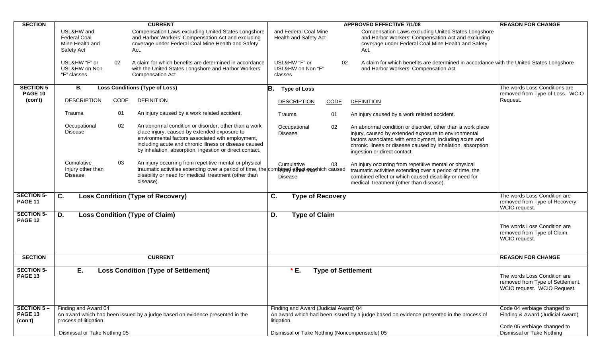| <b>SECTION</b>                      | <b>CURRENT</b>                                                     |      |                                                                                                                                                                                                                                                                              |                                               |                                                |             |    | <b>APPROVED EFFECTIVE 7/1/08</b>                                                                                                                                                                                                                                              | <b>REASON FOR CHANGE</b>                                                                        |
|-------------------------------------|--------------------------------------------------------------------|------|------------------------------------------------------------------------------------------------------------------------------------------------------------------------------------------------------------------------------------------------------------------------------|-----------------------------------------------|------------------------------------------------|-------------|----|-------------------------------------------------------------------------------------------------------------------------------------------------------------------------------------------------------------------------------------------------------------------------------|-------------------------------------------------------------------------------------------------|
|                                     | USL&HW and<br><b>Federal Coal</b><br>Mine Health and<br>Safety Act |      | Compensation Laws excluding United States Longshore<br>and Harbor Workers' Compensation Act and excluding<br>coverage under Federal Coal Mine Health and Safety<br>Act.                                                                                                      |                                               | and Federal Coal Mine<br>Health and Safety Act |             |    | Compensation Laws excluding United States Longshore<br>and Harbor Workers' Compensation Act and excluding<br>coverage under Federal Coal Mine Health and Safety<br>Act.                                                                                                       |                                                                                                 |
|                                     | USL&HW "F" or<br>USL&HW on Non<br>"F" classes                      | 02   | A claim for which benefits are determined in accordance<br>with the United States Longshore and Harbor Workers'<br><b>Compensation Act</b>                                                                                                                                   |                                               | USL&HW "F" or<br>USL&HW on Non "F"<br>classes  |             | 02 | A claim for which benefits are determined in accordance with the United States Longshore<br>and Harbor Workers' Compensation Act                                                                                                                                              |                                                                                                 |
| <b>SECTION 5</b>                    | В.                                                                 |      | <b>Loss Conditions (Type of Loss)</b>                                                                                                                                                                                                                                        | B.                                            | <b>Type of Loss</b>                            |             |    |                                                                                                                                                                                                                                                                               | The words Loss Conditions are                                                                   |
| <b>PAGE 10</b><br>(con't)           | <b>DESCRIPTION</b>                                                 | CODE | <b>DEFINITION</b>                                                                                                                                                                                                                                                            |                                               | <b>DESCRIPTION</b>                             | <b>CODE</b> |    | <b>DEFINITION</b>                                                                                                                                                                                                                                                             | removed from Type of Loss. WCIO<br>Request.                                                     |
|                                     | Trauma                                                             | 01   | An injury caused by a work related accident.                                                                                                                                                                                                                                 |                                               | Trauma                                         | 01          |    | An injury caused by a work related accident.                                                                                                                                                                                                                                  |                                                                                                 |
|                                     | Occupational<br>Disease                                            | 02   | An abnormal condition or disorder, other than a work<br>place injury, caused by extended exposure to<br>environmental factors associated wth employment,<br>including acute and chronic illness or disease caused<br>by inhalation, absorption, ingestion or direct contact. |                                               | Occupational<br><b>Disease</b>                 | 02          |    | An abnormal condition or disorder, other than a work place<br>injury, caused by extended exposure to environmental<br>factors associated with employment, including acute and<br>chronic illness or disease caused by inhalation, absorption,<br>ingestion or direct contact. |                                                                                                 |
|                                     | Cumulative<br>Injury other than<br><b>Disease</b>                  | 03   | An injury occurring from repetitive mental or physical<br>traumatic activities extending over a period of time, the compined effect may hich caused<br>disability or need for medical treatment (other than<br>disease).                                                     |                                               | Cumulative<br><b>Disease</b>                   | 03          |    | An injury occurring from repetitive mental or physical<br>traumatic activities extending over a period of time, the<br>combined effect or which caused disability or need for<br>medical treatment (other than disease).                                                      |                                                                                                 |
| <b>SECTION 5-</b><br><b>PAGE 11</b> | C.                                                                 |      | <b>Loss Condition (Type of Recovery)</b>                                                                                                                                                                                                                                     | C.                                            | <b>Type of Recovery</b>                        |             |    |                                                                                                                                                                                                                                                                               | The words Loss Condition are<br>removed from Type of Recovery.<br>WCIO request.                 |
| <b>SECTION 5-</b><br><b>PAGE 12</b> | D.                                                                 |      | <b>Loss Condition (Type of Claim)</b>                                                                                                                                                                                                                                        | D.                                            | <b>Type of Claim</b>                           |             |    |                                                                                                                                                                                                                                                                               |                                                                                                 |
|                                     |                                                                    |      |                                                                                                                                                                                                                                                                              |                                               |                                                |             |    |                                                                                                                                                                                                                                                                               | The words Loss Condition are<br>removed from Type of Claim.<br>WCIO request.                    |
| <b>SECTION</b>                      |                                                                    |      | <b>CURRENT</b>                                                                                                                                                                                                                                                               |                                               |                                                |             |    |                                                                                                                                                                                                                                                                               | <b>REASON FOR CHANGE</b>                                                                        |
| <b>SECTION 5-</b><br>PAGE 13        | Ε.                                                                 |      | <b>Loss Condition (Type of Settlement)</b>                                                                                                                                                                                                                                   |                                               | $*E.$                                          |             |    | <b>Type of Settlement</b>                                                                                                                                                                                                                                                     | The words Loss Condition are<br>removed from Type of Settlement.<br>WCIO request. WCIO Request. |
| <b>SECTION 5-</b>                   | Finding and Award 04                                               |      |                                                                                                                                                                                                                                                                              |                                               | Finding and Award (Judicial Award) 04          |             |    |                                                                                                                                                                                                                                                                               | Code 04 verbiage changed to                                                                     |
| <b>PAGE 13</b><br>(con't)           | process of litigation.                                             |      | An award which had been issued by a judge based on evidence presented in the                                                                                                                                                                                                 |                                               | litigation.                                    |             |    | An award which had been issued by a judge based on evidence presented in the process of                                                                                                                                                                                       | Finding & Award (Judicial Award)<br>Code 05 verbiage changed to                                 |
|                                     | Dismissal or Take Nothing 05                                       |      |                                                                                                                                                                                                                                                                              | Dismissal or Take Nothing (Noncompensable) 05 | Dismissal or Take Nothing                      |             |    |                                                                                                                                                                                                                                                                               |                                                                                                 |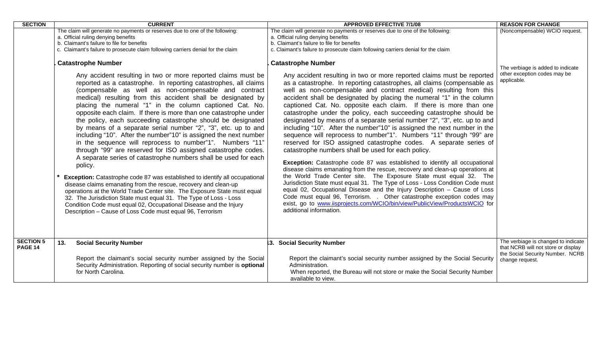| <b>SECTION</b>                     |                                                                                                                                                                                                                                                                                                                                                                                                                                                                                                                                                                                                                                                                                                                                                                                                                                                                                                                                                                                                                                                                                                  | <b>CURRENT</b>                                                                                                                                                                                                                                                                                                                                                                                                                    | <b>APPROVED EFFECTIVE 7/1/08</b>                                                                                                                                                                                                                                                                                                                                                                                                                                                                                                                                                                                                                                                                                                                                                                                                                                                                                                                                                                                                                                                                                                                                                                                                                           | <b>REASON FOR CHANGE</b>                                                                                                          |
|------------------------------------|--------------------------------------------------------------------------------------------------------------------------------------------------------------------------------------------------------------------------------------------------------------------------------------------------------------------------------------------------------------------------------------------------------------------------------------------------------------------------------------------------------------------------------------------------------------------------------------------------------------------------------------------------------------------------------------------------------------------------------------------------------------------------------------------------------------------------------------------------------------------------------------------------------------------------------------------------------------------------------------------------------------------------------------------------------------------------------------------------|-----------------------------------------------------------------------------------------------------------------------------------------------------------------------------------------------------------------------------------------------------------------------------------------------------------------------------------------------------------------------------------------------------------------------------------|------------------------------------------------------------------------------------------------------------------------------------------------------------------------------------------------------------------------------------------------------------------------------------------------------------------------------------------------------------------------------------------------------------------------------------------------------------------------------------------------------------------------------------------------------------------------------------------------------------------------------------------------------------------------------------------------------------------------------------------------------------------------------------------------------------------------------------------------------------------------------------------------------------------------------------------------------------------------------------------------------------------------------------------------------------------------------------------------------------------------------------------------------------------------------------------------------------------------------------------------------------|-----------------------------------------------------------------------------------------------------------------------------------|
|                                    | The claim will generate no payments or reserves due to one of the following:<br>a. Official ruling denying benefits<br>b. Claimant's failure to file for benefits<br>c. Claimant's failure to prosecute claim following carriers denial for the claim<br><b>Catastrophe Number</b><br>Any accident resulting in two or more reported claims must be<br>reported as a catastrophe. In reporting catastrophes, all claims<br>(compensable as well as non-compensable and contract<br>medical) resulting from this accident shall be designated by<br>placing the numeral "1" in the column captioned Cat. No.<br>opposite each claim. If there is more than one catastrophe under<br>the policy, each succeeding catastrophe should be designated<br>by means of a separate serial number "2", "3", etc. up to and<br>including "10". After the number"10" is assigned the next number<br>in the sequence will reprocess to number"1". Numbers "11"<br>through "99" are reserved for ISO assigned catastrophe codes.<br>A separate series of catastrophe numbers shall be used for each<br>policy. |                                                                                                                                                                                                                                                                                                                                                                                                                                   | The claim will generate no payments or reserves due to one of the following:<br>a. Official ruling denying benefits<br>b. Claimant's failure to file for benefits<br>c. Claimant's failure to prosecute claim following carriers denial for the claim<br><b>Catastrophe Number</b><br>Any accident resulting in two or more reported claims must be reported<br>as a catastrophe. In reporting catastrophes, all claims (compensable as<br>well as non-compensable and contract medical) resulting from this<br>accident shall be designated by placing the numeral "1" in the column<br>captioned Cat. No. opposite each claim. If there is more than one<br>catastrophe under the policy, each succeeding catastrophe should be<br>designated by means of a separate serial number "2", "3", etc. up to and<br>including "10". After the number"10" is assigned the next number in the<br>sequence will reprocess to number"1". Numbers "11" through "99" are<br>reserved for ISO assigned catastrophe codes. A separate series of<br>catastrophe numbers shall be used for each policy.<br>Exception: Catastrophe code 87 was established to identify all occupational<br>disease claims emanating from the rescue, recovery and clean-up operations at | (Noncompensable) WCIO request.<br>The verbiage is added to indicate<br>other exception codes may be<br>applicable.                |
|                                    |                                                                                                                                                                                                                                                                                                                                                                                                                                                                                                                                                                                                                                                                                                                                                                                                                                                                                                                                                                                                                                                                                                  | Exception: Catastrophe code 87 was established to identify all occupational<br>disease claims emanating from the rescue, recovery and clean-up<br>operations at the World Trade Center site. The Exposure State must equal<br>32. The Jurisdiction State must equal 31. The Type of Loss - Loss<br>Condition Code must equal 02, Occupational Disease and the Injury<br>Description - Cause of Loss Code must equal 96, Terrorism | the World Trade Center site. The Exposure State must equal 32. The<br>Jurisdiction State must equal 31. The Type of Loss - Loss Condition Code must<br>equal 02, Occupational Disease and the Injury Description - Cause of Loss<br>Code must equal 96, Terrorism. . Other catastrophe exception codes may<br>exist, go to www.iisprojects.com/WCIO/bin/view/PublicView/ProductsWCIO for<br>additional information.                                                                                                                                                                                                                                                                                                                                                                                                                                                                                                                                                                                                                                                                                                                                                                                                                                        |                                                                                                                                   |
| <b>SECTION 5</b><br><b>PAGE 14</b> | 13.                                                                                                                                                                                                                                                                                                                                                                                                                                                                                                                                                                                                                                                                                                                                                                                                                                                                                                                                                                                                                                                                                              | <b>Social Security Number</b><br>Report the claimant's social security number assigned by the Social<br>Security Administration. Reporting of social security number is optional<br>for North Carolina.                                                                                                                                                                                                                           | 3. Social Security Number<br>Report the claimant's social security number assigned by the Social Security<br>Administration.<br>When reported, the Bureau will not store or make the Social Security Number<br>available to view.                                                                                                                                                                                                                                                                                                                                                                                                                                                                                                                                                                                                                                                                                                                                                                                                                                                                                                                                                                                                                          | The verbiage is changed to indicate<br>that NCRB will not store or display<br>the Social Security Number. NCRB<br>change request. |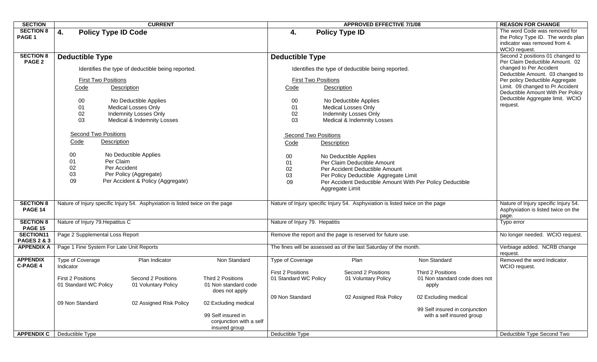| <b>SECTION</b>                             |                                          | <b>CURRENT</b>                                                                |                         |                                                                  | <b>APPROVED EFFECTIVE 7/1/08</b>                  | <b>REASON FOR CHANGE</b>                                                      |                                |                                                                                                                       |
|--------------------------------------------|------------------------------------------|-------------------------------------------------------------------------------|-------------------------|------------------------------------------------------------------|---------------------------------------------------|-------------------------------------------------------------------------------|--------------------------------|-----------------------------------------------------------------------------------------------------------------------|
| <b>SECTION 8</b><br>PAGE 1                 | 4.<br><b>Policy Type ID Code</b>         |                                                                               |                         | 4.                                                               | <b>Policy Type ID</b>                             |                                                                               |                                | The word Code was removed for<br>the Policy Type ID. The words plan<br>indicator was removed from 4.<br>WCIO request. |
| <b>SECTION 8</b><br>PAGE 2                 | <b>Deductible Type</b>                   | <b>Deductible Type</b>                                                        |                         |                                                                  |                                                   | Second 2 positions 01 changed to<br>Per Claim Deductible Amount. 02           |                                |                                                                                                                       |
|                                            |                                          | Identifies the type of deductible being reported.                             |                         |                                                                  | Identifies the type of deductible being reported. | changed to Per Accident                                                       |                                |                                                                                                                       |
|                                            | <b>First Two Positions</b>               |                                                                               |                         |                                                                  | <b>First Two Positions</b>                        | Deductible Amount. 03 changed to<br>Per policy Deductible Aggregate           |                                |                                                                                                                       |
|                                            | Code                                     | <b>Description</b>                                                            |                         | Code                                                             | Description                                       | Limit. 09 changed to Pr Accident<br>Deductible Amount With Per Policy         |                                |                                                                                                                       |
|                                            | 00                                       | No Deductible Applies                                                         |                         | 00                                                               |                                                   | No Deductible Applies                                                         |                                | Deductible Aggregate limit. WCIO<br>request.                                                                          |
|                                            | 01                                       | Medical Losses Only<br><b>Indemnity Losses Only</b>                           |                         | 01                                                               |                                                   | <b>Medical Losses Only</b><br><b>Indemnity Losses Only</b>                    |                                |                                                                                                                       |
|                                            | 02<br>03                                 | Medical & Indemnity Losses                                                    |                         | 02<br>03                                                         |                                                   | Medical & Indemnity Losses                                                    |                                |                                                                                                                       |
|                                            |                                          |                                                                               |                         |                                                                  |                                                   |                                                                               |                                |                                                                                                                       |
|                                            | <b>Second Two Positions</b>              |                                                                               |                         | <b>Second Two Positions</b>                                      |                                                   |                                                                               |                                |                                                                                                                       |
|                                            | Description<br>Code                      |                                                                               |                         | Code                                                             | <b>Description</b>                                |                                                                               |                                |                                                                                                                       |
|                                            | 00                                       | No Deductible Applies                                                         |                         | 00                                                               |                                                   | No Deductible Applies                                                         |                                |                                                                                                                       |
|                                            | 01                                       | Per Claim                                                                     |                         | 01                                                               |                                                   | Per Claim Deductible Amount                                                   |                                |                                                                                                                       |
|                                            | 02                                       | Per Accident                                                                  |                         | 02                                                               |                                                   | Per Accident Deductible Amount                                                |                                |                                                                                                                       |
|                                            | 03                                       | Per Policy (Aggregate)                                                        |                         | 03                                                               | Per Policy Deductible Aggregate Limit             |                                                                               |                                |                                                                                                                       |
|                                            | 09                                       | Per Accident & Policy (Aggregate)                                             |                         | 09                                                               |                                                   | Per Accident Deductible Amount With Per Policy Deductible                     |                                |                                                                                                                       |
|                                            |                                          |                                                                               |                         |                                                                  | Aggregate Limit                                   |                                                                               |                                |                                                                                                                       |
| <b>SECTION 8</b>                           |                                          | Nature of Injury specific Injury 54. Asphyxiation is listed twice on the page |                         |                                                                  |                                                   | Nature of Injury specific Injury 54. Asphyxiation is listed twice on the page |                                | Nature of Injury specific Injury 54.                                                                                  |
| <b>PAGE 14</b>                             |                                          |                                                                               |                         |                                                                  |                                                   | Asphyxiation is listed twice on the                                           |                                |                                                                                                                       |
|                                            |                                          |                                                                               |                         |                                                                  |                                                   |                                                                               |                                | page.                                                                                                                 |
| <b>SECTION 8</b><br><b>PAGE 15</b>         | Nature of Injury 79. Hepatitus C         |                                                                               |                         | Nature of Injury 79. Hepatitis                                   |                                                   | Typo error                                                                    |                                |                                                                                                                       |
| <b>SECTION11</b><br><b>PAGES 2 &amp; 3</b> | Page 2 Supplemental Loss Report          |                                                                               |                         | Remove the report and the page is reserved for future use.       |                                                   | No longer needed. WCIO request.                                               |                                |                                                                                                                       |
| <b>APPENDIX A</b>                          | Page 1 Fine System For Late Unit Reports |                                                                               |                         | The fines will be assessed as of the last Saturday of the month. |                                                   | Verbiage added. NCRB change<br>request.                                       |                                |                                                                                                                       |
| <b>APPENDIX</b><br><b>C-PAGE 4</b>         | Type of Coverage<br>Indicator            | Plan Indicator                                                                | Non Standard            | Type of Coverage                                                 |                                                   | Plan                                                                          | Non Standard                   | Removed the word Indicator.<br>WCIO request.                                                                          |
|                                            |                                          |                                                                               |                         | <b>First 2 Positions</b>                                         |                                                   | Second 2 Positions                                                            | Third 2 Positions              |                                                                                                                       |
|                                            | <b>First 2 Positions</b>                 | Second 2 Positions                                                            | Third 2 Positions       | 01 Standard WC Policy                                            |                                                   | 01 Voluntary Policy                                                           | 01 Non standard code does not  |                                                                                                                       |
|                                            | 01 Standard WC Policy                    | 01 Voluntary Policy                                                           | 01 Non standard code    |                                                                  |                                                   |                                                                               | apply                          |                                                                                                                       |
|                                            |                                          |                                                                               | does not apply          |                                                                  |                                                   |                                                                               |                                |                                                                                                                       |
|                                            | 09 Non Standard                          | 02 Assigned Risk Policy                                                       | 02 Excluding medical    | 09 Non Standard                                                  |                                                   | 02 Assigned Risk Policy                                                       | 02 Excluding medical           |                                                                                                                       |
|                                            |                                          |                                                                               |                         |                                                                  |                                                   |                                                                               | 99 Self insured in conjunction |                                                                                                                       |
|                                            |                                          |                                                                               | 99 Self insured in      |                                                                  |                                                   |                                                                               | with a self insured group      |                                                                                                                       |
|                                            |                                          |                                                                               | conjunction with a self |                                                                  |                                                   |                                                                               |                                |                                                                                                                       |
|                                            |                                          |                                                                               | insured group           |                                                                  |                                                   |                                                                               |                                |                                                                                                                       |
| <b>APPENDIX C</b>                          | Deductible Type                          |                                                                               |                         | Deductible Type                                                  |                                                   |                                                                               |                                | Deductible Type Second Two                                                                                            |